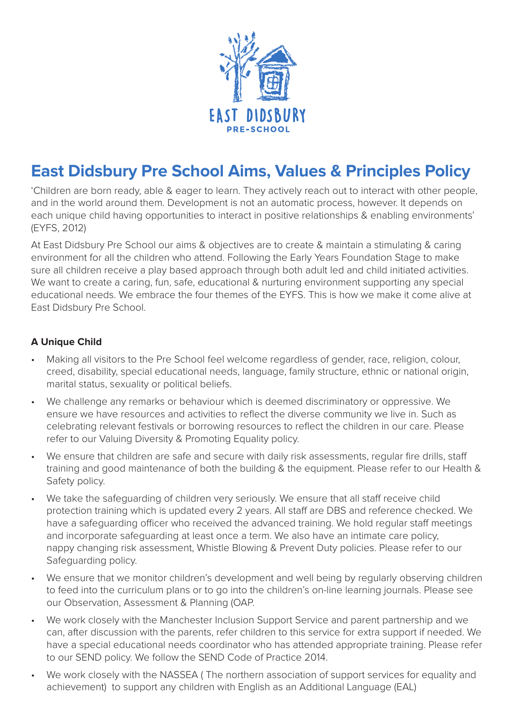

# **East Didsbury Pre School Aims, Values & Principles Policy**

'Children are born ready, able & eager to learn. They actively reach out to interact with other people, and in the world around them. Development is not an automatic process, however. It depends on each unique child having opportunities to interact in positive relationships & enabling environments' (EYFS, 2012)

At East Didsbury Pre School our aims & objectives are to create & maintain a stimulating & caring environment for all the children who attend. Following the Early Years Foundation Stage to make sure all children receive a play based approach through both adult led and child initiated activities. We want to create a caring, fun, safe, educational & nurturing environment supporting any special educational needs. We embrace the four themes of the EYFS. This is how we make it come alive at East Didsbury Pre School.

## **A Unique Child**

- Making all visitors to the Pre School feel welcome regardless of gender, race, religion, colour, creed, disability, special educational needs, language, family structure, ethnic or national origin, marital status, sexuality or political beliefs.
- We challenge any remarks or behaviour which is deemed discriminatory or oppressive. We ensure we have resources and activities to reflect the diverse community we live in. Such as celebrating relevant festivals or borrowing resources to reflect the children in our care. Please refer to our Valuing Diversity & Promoting Equality policy.
- We ensure that children are safe and secure with daily risk assessments, regular fire drills, staff training and good maintenance of both the building & the equipment. Please refer to our Health & Safety policy.
- We take the safeguarding of children very seriously. We ensure that all staff receive child protection training which is updated every 2 years. All staff are DBS and reference checked. We have a safeguarding officer who received the advanced training. We hold regular staff meetings and incorporate safeguarding at least once a term. We also have an intimate care policy, nappy changing risk assessment, Whistle Blowing & Prevent Duty policies. Please refer to our Safeguarding policy.
- We ensure that we monitor children's development and well being by regularly observing children to feed into the curriculum plans or to go into the children's on-line learning journals. Please see our Observation, Assessment & Planning (OAP.
- We work closely with the Manchester Inclusion Support Service and parent partnership and we can, after discussion with the parents, refer children to this service for extra support if needed. We have a special educational needs coordinator who has attended appropriate training. Please refer to our SEND policy. We follow the SEND Code of Practice 2014.
- We work closely with the NASSEA ( The northern association of support services for equality and achievement) to support any children with English as an Additional Language (EAL)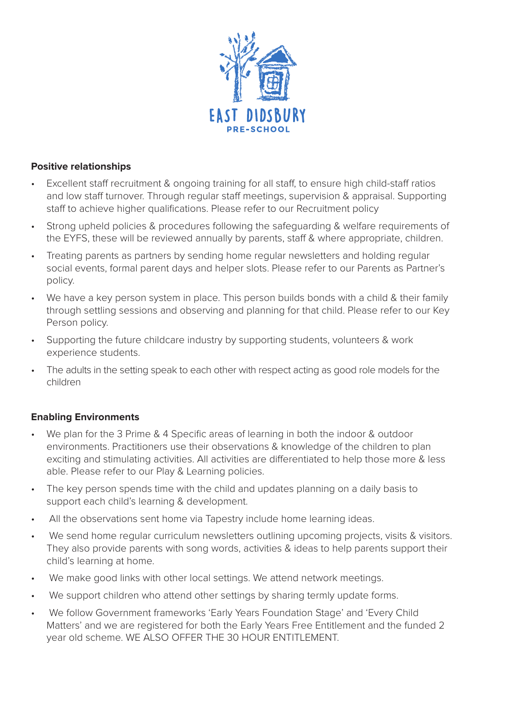

#### **Positive relationships**

- Excellent staff recruitment & ongoing training for all staff, to ensure high child-staff ratios and low staff turnover. Through regular staff meetings, supervision & appraisal. Supporting staff to achieve higher qualifications. Please refer to our Recruitment policy
- Strong upheld policies & procedures following the safeguarding & welfare requirements of the EYFS, these will be reviewed annually by parents, staff & where appropriate, children.
- Treating parents as partners by sending home regular newsletters and holding regular social events, formal parent days and helper slots. Please refer to our Parents as Partner's policy.
- We have a key person system in place. This person builds bonds with a child & their family through settling sessions and observing and planning for that child. Please refer to our Key Person policy.
- Supporting the future childcare industry by supporting students, volunteers & work experience students.
- The adults in the setting speak to each other with respect acting as good role models for the children

#### **Enabling Environments**

- We plan for the 3 Prime & 4 Specific areas of learning in both the indoor & outdoor environments. Practitioners use their observations & knowledge of the children to plan exciting and stimulating activities. All activities are differentiated to help those more & less able. Please refer to our Play & Learning policies.
- The key person spends time with the child and updates planning on a daily basis to support each child's learning & development.
- All the observations sent home via Tapestry include home learning ideas.
- We send home regular curriculum newsletters outlining upcoming projects, visits & visitors. They also provide parents with song words, activities & ideas to help parents support their child's learning at home.
- We make good links with other local settings. We attend network meetings.
- We support children who attend other settings by sharing termly update forms.
- We follow Government frameworks 'Early Years Foundation Stage' and 'Every Child Matters' and we are registered for both the Early Years Free Entitlement and the funded 2 year old scheme. WE ALSO OFFER THE 30 HOUR ENTITLEMENT.